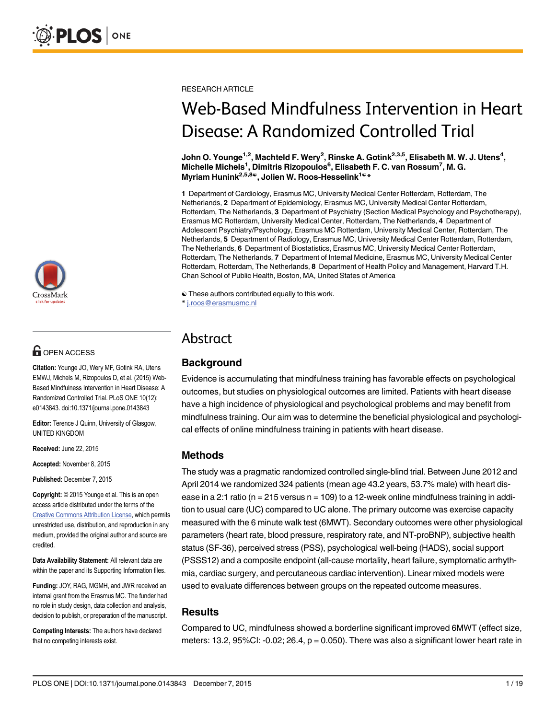

# **G** OPEN ACCESS

Citation: Younge JO, Wery MF, Gotink RA, Utens EMWJ, Michels M, Rizopoulos D, et al. (2015) Web-Based Mindfulness Intervention in Heart Disease: A Randomized Controlled Trial. PLoS ONE 10(12): e0143843. doi:10.1371/journal.pone.0143843

Editor: Terence J Quinn, University of Glasgow, UNITED KINGDOM

Received: June 22, 2015

Accepted: November 8, 2015

Published: December 7, 2015

Copyright: © 2015 Younge et al. This is an open access article distributed under the terms of the [Creative Commons Attribution License,](http://creativecommons.org/licenses/by/4.0/) which permits unrestricted use, distribution, and reproduction in any medium, provided the original author and source are credited.

Data Availability Statement: All relevant data are within the paper and its Supporting Information files.

Funding: JOY, RAG, MGMH, and JWR received an internal grant from the Erasmus MC. The funder had no role in study design, data collection and analysis, decision to publish, or preparation of the manuscript.

Competing Interests: The authors have declared that no competing interests exist.

RESEARCH ARTICLE

# Web-Based Mindfulness Intervention in Heart Disease: A Randomized Controlled Trial

John O. Younge<sup>1,2</sup>, Machteld F. Wery<sup>2</sup>, Rinske A. Gotink<sup>2,3,5</sup>, Elisabeth M. W. J. Utens<sup>4</sup>, Michelle Michels<sup>1</sup>, Dimitris Rizopoulos<sup>6</sup>, Elisabeth F. C. van Rossum<sup>7</sup>, M. G. Myriam Hunink<sup>2,5,8</sup>↓, Jolien W. Roos-Hesselink<sup>1©\*</sup>

1 Department of Cardiology, Erasmus MC, University Medical Center Rotterdam, Rotterdam, The Netherlands, 2 Department of Epidemiology, Erasmus MC, University Medical Center Rotterdam, Rotterdam, The Netherlands, 3 Department of Psychiatry (Section Medical Psychology and Psychotherapy), Erasmus MC Rotterdam, University Medical Center, Rotterdam, The Netherlands, 4 Department of Adolescent Psychiatry/Psychology, Erasmus MC Rotterdam, University Medical Center, Rotterdam, The Netherlands, 5 Department of Radiology, Erasmus MC, University Medical Center Rotterdam, Rotterdam, The Netherlands, 6 Department of Biostatistics, Erasmus MC, University Medical Center Rotterdam, Rotterdam, The Netherlands, 7 Department of Internal Medicine, Erasmus MC, University Medical Center Rotterdam, Rotterdam, The Netherlands, 8 Department of Health Policy and Management, Harvard T.H. Chan School of Public Health, Boston, MA, United States of America

☯ These authors contributed equally to this work. \* j.roos@erasmusmc.nl

# Abstract

## **Background**

Evidence is accumulating that mindfulness training has favorable effects on psychological outcomes, but studies on physiological outcomes are limited. Patients with heart disease have a high incidence of physiological and psychological problems and may benefit from mindfulness training. Our aim was to determine the beneficial physiological and psychological effects of online mindfulness training in patients with heart disease.

## Methods

The study was a pragmatic randomized controlled single-blind trial. Between June 2012 and April 2014 we randomized 324 patients (mean age 43.2 years, 53.7% male) with heart disease in a 2:1 ratio ( $n = 215$  versus  $n = 109$ ) to a 12-week online mindfulness training in addition to usual care (UC) compared to UC alone. The primary outcome was exercise capacity measured with the 6 minute walk test (6MWT). Secondary outcomes were other physiological parameters (heart rate, blood pressure, respiratory rate, and NT-proBNP), subjective health status (SF-36), perceived stress (PSS), psychological well-being (HADS), social support (PSSS12) and a composite endpoint (all-cause mortality, heart failure, symptomatic arrhythmia, cardiac surgery, and percutaneous cardiac intervention). Linear mixed models were used to evaluate differences between groups on the repeated outcome measures.

## **Results**

Compared to UC, mindfulness showed a borderline significant improved 6MWT (effect size, meters: 13.2, 95%CI: -0.02; 26.4,  $p = 0.050$ ). There was also a significant lower heart rate in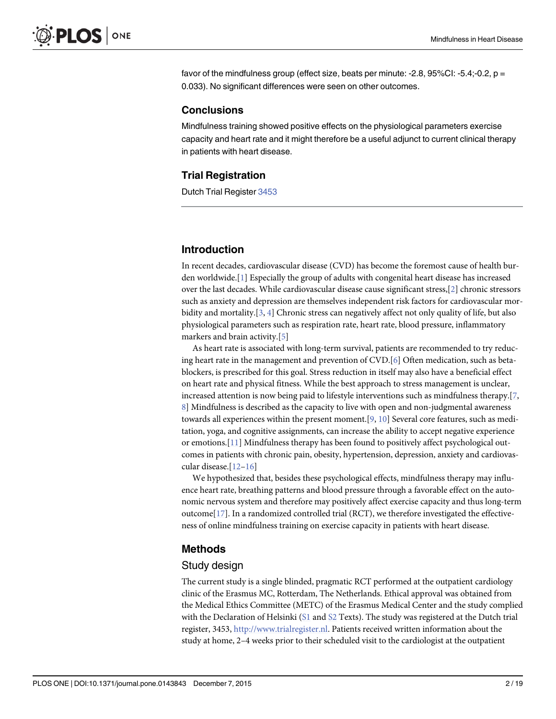<span id="page-1-0"></span>favor of the mindfulness group (effect size, beats per minute: -2.8, 95%CI: -5.4;-0.2,  $p =$ 0.033). No significant differences were seen on other outcomes.

#### **Conclusions**

Mindfulness training showed positive effects on the physiological parameters exercise capacity and heart rate and it might therefore be a useful adjunct to current clinical therapy in patients with heart disease.

#### Trial Registration

Dutch Trial Register [3453](http://www.trialregister.nl/trialreg/admin/rctsearch.asp?Term=3453)

#### Introduction

In recent decades, cardiovascular disease (CVD) has become the foremost cause of health burden worldwide.[[1](#page-15-0)] Especially the group of adults with congenital heart disease has increased over the last decades. While cardiovascular disease cause significant stress,[[2](#page-15-0)] chronic stressors such as anxiety and depression are themselves independent risk factors for cardiovascular morbidity and mortality.[[3,](#page-15-0) [4\]](#page-15-0) Chronic stress can negatively affect not only quality of life, but also physiological parameters such as respiration rate, heart rate, blood pressure, inflammatory markers and brain activity.[[5\]](#page-15-0)

As heart rate is associated with long-term survival, patients are recommended to try reducing heart rate in the management and prevention of  $CVD$ . [\[6](#page-15-0)] Often medication, such as betablockers, is prescribed for this goal. Stress reduction in itself may also have a beneficial effect on heart rate and physical fitness. While the best approach to stress management is unclear, increased attention is now being paid to lifestyle interventions such as mindfulness therapy.[[7,](#page-15-0) [8\]](#page-15-0) Mindfulness is described as the capacity to live with open and non-judgmental awareness towards all experiences within the present moment.[\[9](#page-15-0), [10](#page-15-0)] Several core features, such as meditation, yoga, and cognitive assignments, can increase the ability to accept negative experience or emotions.[\[11](#page-15-0)] Mindfulness therapy has been found to positively affect psychological outcomes in patients with chronic pain, obesity, hypertension, depression, anxiety and cardiovascular disease.[[12](#page-16-0)–[16\]](#page-16-0)

We hypothesized that, besides these psychological effects, mindfulness therapy may influence heart rate, breathing patterns and blood pressure through a favorable effect on the autonomic nervous system and therefore may positively affect exercise capacity and thus long-term outcome[\[17\]](#page-16-0). In a randomized controlled trial (RCT), we therefore investigated the effectiveness of online mindfulness training on exercise capacity in patients with heart disease.

#### Methods

#### Study design

The current study is a single blinded, pragmatic RCT performed at the outpatient cardiology clinic of the Erasmus MC, Rotterdam, The Netherlands. Ethical approval was obtained from the Medical Ethics Committee (METC) of the Erasmus Medical Center and the study complied with the Declaration of Helsinki ( $S1$  and  $S2$  Texts). The study was registered at the Dutch trial register, 3453, [http://www.trialregister.nl](http://www.trialregister.nl/). Patients received written information about the study at home, 2–4 weeks prior to their scheduled visit to the cardiologist at the outpatient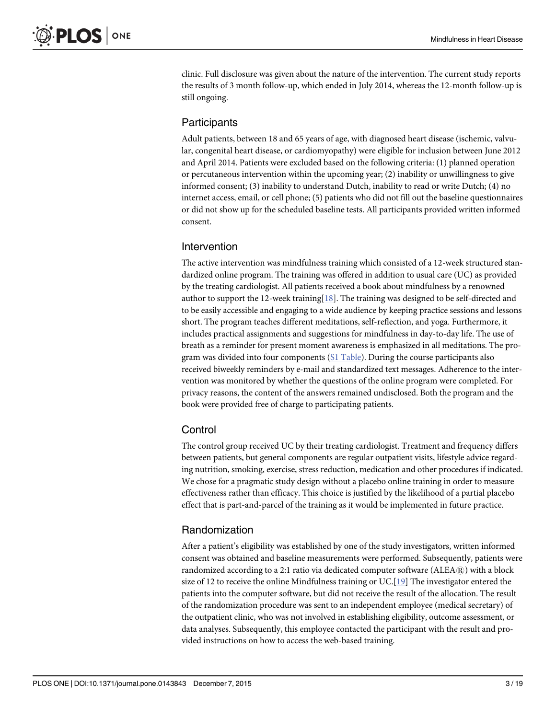<span id="page-2-0"></span>clinic. Full disclosure was given about the nature of the intervention. The current study reports the results of 3 month follow-up, which ended in July 2014, whereas the 12-month follow-up is still ongoing.

## Participants

Adult patients, between 18 and 65 years of age, with diagnosed heart disease (ischemic, valvular, congenital heart disease, or cardiomyopathy) were eligible for inclusion between June 2012 and April 2014. Patients were excluded based on the following criteria: (1) planned operation or percutaneous intervention within the upcoming year; (2) inability or unwillingness to give informed consent; (3) inability to understand Dutch, inability to read or write Dutch; (4) no internet access, email, or cell phone; (5) patients who did not fill out the baseline questionnaires or did not show up for the scheduled baseline tests. All participants provided written informed consent.

## Intervention

The active intervention was mindfulness training which consisted of a 12-week structured standardized online program. The training was offered in addition to usual care (UC) as provided by the treating cardiologist. All patients received a book about mindfulness by a renowned author to support the 12-week training[\[18\]](#page-16-0). The training was designed to be self-directed and to be easily accessible and engaging to a wide audience by keeping practice sessions and lessons short. The program teaches different meditations, self-reflection, and yoga. Furthermore, it includes practical assignments and suggestions for mindfulness in day-to-day life. The use of breath as a reminder for present moment awareness is emphasized in all meditations. The program was divided into four components ([S1 Table\)](#page-14-0). During the course participants also received biweekly reminders by e-mail and standardized text messages. Adherence to the intervention was monitored by whether the questions of the online program were completed. For privacy reasons, the content of the answers remained undisclosed. Both the program and the book were provided free of charge to participating patients.

## **Control**

The control group received UC by their treating cardiologist. Treatment and frequency differs between patients, but general components are regular outpatient visits, lifestyle advice regarding nutrition, smoking, exercise, stress reduction, medication and other procedures if indicated. We chose for a pragmatic study design without a placebo online training in order to measure effectiveness rather than efficacy. This choice is justified by the likelihood of a partial placebo effect that is part-and-parcel of the training as it would be implemented in future practice.

## Randomization

After a patient's eligibility was established by one of the study investigators, written informed consent was obtained and baseline measurements were performed. Subsequently, patients were randomized according to a 2:1 ratio via dedicated computer software  $(ALEA)$  with a block size of 12 to receive the online Mindfulness training or UC.[[19](#page-16-0)] The investigator entered the patients into the computer software, but did not receive the result of the allocation. The result of the randomization procedure was sent to an independent employee (medical secretary) of the outpatient clinic, who was not involved in establishing eligibility, outcome assessment, or data analyses. Subsequently, this employee contacted the participant with the result and provided instructions on how to access the web-based training.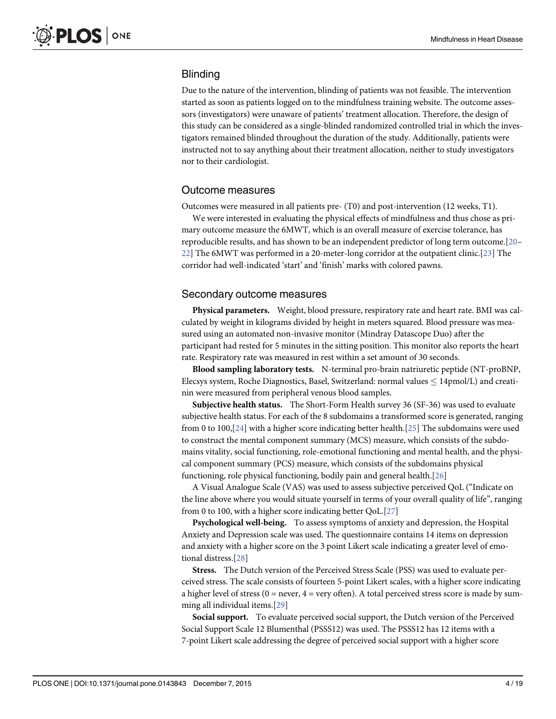## <span id="page-3-0"></span>**Blinding**

Due to the nature of the intervention, blinding of patients was not feasible. The intervention started as soon as patients logged on to the mindfulness training website. The outcome assessors (investigators) were unaware of patients' treatment allocation. Therefore, the design of this study can be considered as a single-blinded randomized controlled trial in which the investigators remained blinded throughout the duration of the study. Additionally, patients were instructed not to say anything about their treatment allocation, neither to study investigators nor to their cardiologist.

#### Outcome measures

Outcomes were measured in all patients pre- (T0) and post-intervention (12 weeks, T1).

We were interested in evaluating the physical effects of mindfulness and thus chose as primary outcome measure the 6MWT, which is an overall measure of exercise tolerance, has reproducible results, and has shown to be an independent predictor of long term outcome.[\[20](#page-16-0)– [22\]](#page-16-0) The 6MWT was performed in a 20-meter-long corridor at the outpatient clinic.[\[23\]](#page-16-0) The corridor had well-indicated 'start' and 'finish' marks with colored pawns.

#### Secondary outcome measures

Physical parameters. Weight, blood pressure, respiratory rate and heart rate. BMI was calculated by weight in kilograms divided by height in meters squared. Blood pressure was measured using an automated non-invasive monitor (Mindray Datascope Duo) after the participant had rested for 5 minutes in the sitting position. This monitor also reports the heart rate. Respiratory rate was measured in rest within a set amount of 30 seconds.

Blood sampling laboratory tests. N-terminal pro-brain natriuretic peptide (NT-proBNP, Elecsys system, Roche Diagnostics, Basel, Switzerland: normal values  $\leq 14$ pmol/L) and creatinin were measured from peripheral venous blood samples.

Subjective health status. The Short-Form Health survey 36 (SF-36) was used to evaluate subjective health status. For each of the 8 subdomains a transformed score is generated, ranging from 0 to 100,[\[24\]](#page-16-0) with a higher score indicating better health.[\[25\]](#page-16-0) The subdomains were used to construct the mental component summary (MCS) measure, which consists of the subdomains vitality, social functioning, role-emotional functioning and mental health, and the physical component summary (PCS) measure, which consists of the subdomains physical functioning, role physical functioning, bodily pain and general health.[\[26\]](#page-16-0)

A Visual Analogue Scale (VAS) was used to assess subjective perceived QoL ("Indicate on the line above where you would situate yourself in terms of your overall quality of life", ranging from 0 to 100, with a higher score indicating better QoL.[[27\]](#page-16-0)

Psychological well-being. To assess symptoms of anxiety and depression, the Hospital Anxiety and Depression scale was used. The questionnaire contains 14 items on depression and anxiety with a higher score on the 3 point Likert scale indicating a greater level of emotional distress.[\[28\]](#page-16-0)

Stress. The Dutch version of the Perceived Stress Scale (PSS) was used to evaluate perceived stress. The scale consists of fourteen 5-point Likert scales, with a higher score indicating a higher level of stress ( $0 =$  never,  $4 =$  very often). A total perceived stress score is made by summing all individual items.[\[29\]](#page-16-0)

Social support. To evaluate perceived social support, the Dutch version of the Perceived Social Support Scale 12 Blumenthal (PSSS12) was used. The PSSS12 has 12 items with a 7-point Likert scale addressing the degree of perceived social support with a higher score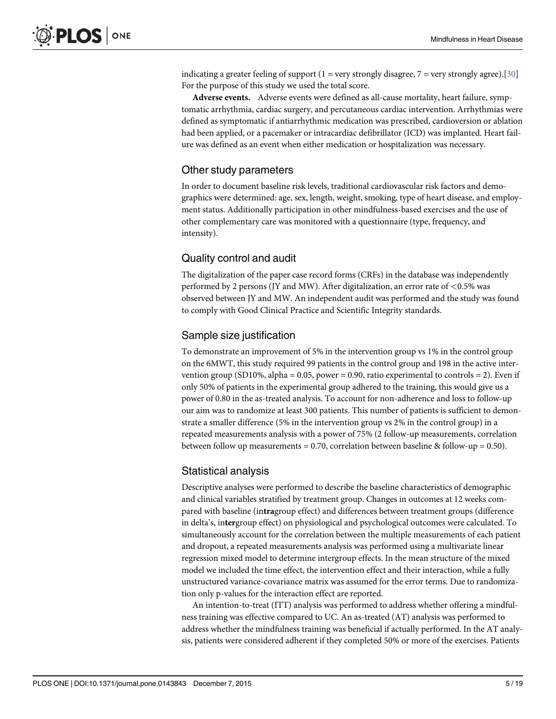<span id="page-4-0"></span>indicating a greater feeling of support  $(1 = \text{very strongly disagree}, 7 = \text{very strongly agree})$ .[\[30\]](#page-16-0) For the purpose of this study we used the total score.

Adverse events. Adverse events were defined as all-cause mortality, heart failure, symptomatic arrhythmia, cardiac surgery, and percutaneous cardiac intervention. Arrhythmias were defined as symptomatic if antiarrhythmic medication was prescribed, cardioversion or ablation had been applied, or a pacemaker or intracardiac defibrillator (ICD) was implanted. Heart failure was defined as an event when either medication or hospitalization was necessary.

#### Other study parameters

In order to document baseline risk levels, traditional cardiovascular risk factors and demographics were determined: age, sex, length, weight, smoking, type of heart disease, and employment status. Additionally participation in other mindfulness-based exercises and the use of other complementary care was monitored with a questionnaire (type, frequency, and intensity).

## Quality control and audit

The digitalization of the paper case record forms (CRFs) in the database was independently performed by 2 persons (JY and MW). After digitalization, an error rate of  $\leq$ 0.5% was observed between JY and MW. An independent audit was performed and the study was found to comply with Good Clinical Practice and Scientific Integrity standards.

## Sample size justification

To demonstrate an improvement of 5% in the intervention group vs 1% in the control group on the 6MWT, this study required 99 patients in the control group and 198 in the active intervention group (SD10%, alpha =  $0.05$ , power = 0.90, ratio experimental to controls = 2). Even if only 50% of patients in the experimental group adhered to the training, this would give us a power of 0.80 in the as-treated analysis. To account for non-adherence and loss to follow-up our aim was to randomize at least 300 patients. This number of patients is sufficient to demonstrate a smaller difference (5% in the intervention group vs 2% in the control group) in a repeated measurements analysis with a power of 75% (2 follow-up measurements, correlation between follow up measurements = 0.70, correlation between baseline & follow-up = 0.50).

## Statistical analysis

Descriptive analyses were performed to describe the baseline characteristics of demographic and clinical variables stratified by treatment group. Changes in outcomes at 12 weeks compared with baseline (intragroup effect) and differences between treatment groups (difference in delta's, intergroup effect) on physiological and psychological outcomes were calculated. To simultaneously account for the correlation between the multiple measurements of each patient and dropout, a repeated measurements analysis was performed using a multivariate linear regression mixed model to determine intergroup effects. In the mean structure of the mixed model we included the time effect, the intervention effect and their interaction, while a fully unstructured variance-covariance matrix was assumed for the error terms. Due to randomization only p-values for the interaction effect are reported.

An intention-to-treat (ITT) analysis was performed to address whether offering a mindfulness training was effective compared to UC. An as-treated (AT) analysis was performed to address whether the mindfulness training was beneficial if actually performed. In the AT analysis, patients were considered adherent if they completed 50% or more of the exercises. Patients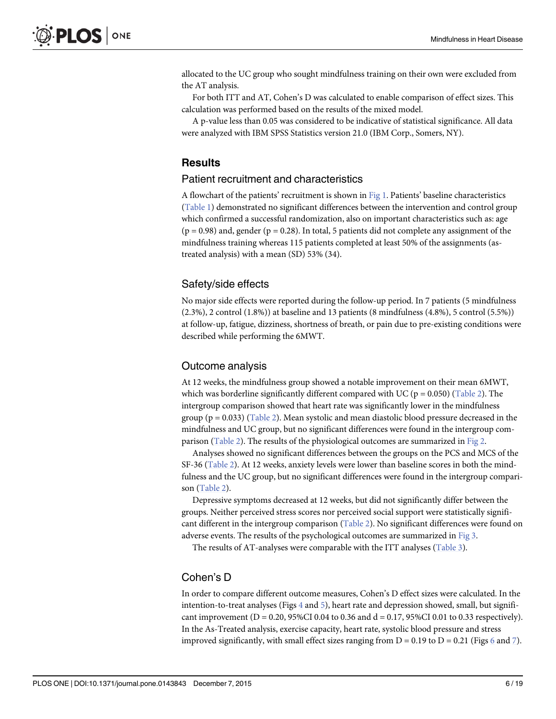<span id="page-5-0"></span>allocated to the UC group who sought mindfulness training on their own were excluded from the AT analysis.

For both ITT and AT, Cohen's D was calculated to enable comparison of effect sizes. This calculation was performed based on the results of the mixed model.

A p-value less than 0.05 was considered to be indicative of statistical significance. All data were analyzed with IBM SPSS Statistics version 21.0 (IBM Corp., Somers, NY).

#### Results

#### Patient recruitment and characteristics

A flowchart of the patients' recruitment is shown in [Fig 1.](#page-6-0) Patients' baseline characteristics [\(Table 1\)](#page-7-0) demonstrated no significant differences between the intervention and control group which confirmed a successful randomization, also on important characteristics such as: age  $(p = 0.98)$  and, gender  $(p = 0.28)$ . In total, 5 patients did not complete any assignment of the mindfulness training whereas 115 patients completed at least 50% of the assignments (astreated analysis) with a mean (SD) 53% (34).

#### Safety/side effects

No major side effects were reported during the follow-up period. In 7 patients (5 mindfulness (2.3%), 2 control (1.8%)) at baseline and 13 patients (8 mindfulness (4.8%), 5 control (5.5%)) at follow-up, fatigue, dizziness, shortness of breath, or pain due to pre-existing conditions were described while performing the 6MWT.

#### Outcome analysis

At 12 weeks, the mindfulness group showed a notable improvement on their mean 6MWT, which was borderline significantly different compared with UC ( $p = 0.050$ ) [\(Table 2\)](#page-9-0). The intergroup comparison showed that heart rate was significantly lower in the mindfulness group ( $p = 0.033$ ) [\(Table 2](#page-9-0)). Mean systolic and mean diastolic blood pressure decreased in the mindfulness and UC group, but no significant differences were found in the intergroup com-parison ([Table 2\)](#page-9-0). The results of the physiological outcomes are summarized in [Fig 2.](#page-10-0)

Analyses showed no significant differences between the groups on the PCS and MCS of the SF-36 ([Table 2\)](#page-9-0). At 12 weeks, anxiety levels were lower than baseline scores in both the mindfulness and the UC group, but no significant differences were found in the intergroup comparison ([Table 2\)](#page-9-0).

Depressive symptoms decreased at 12 weeks, but did not significantly differ between the groups. Neither perceived stress scores nor perceived social support were statistically significant different in the intergroup comparison [\(Table 2](#page-9-0)). No significant differences were found on adverse events. The results of the psychological outcomes are summarized in [Fig 3](#page-11-0).

The results of AT-analyses were comparable with the ITT analyses [\(Table 3](#page-12-0)).

## Cohen's D

In order to compare different outcome measures, Cohen's D effect sizes were calculated. In the intention-to-treat analyses (Figs  $4$  and  $5$ ), heart rate and depression showed, small, but significant improvement ( $D = 0.20$ , 95%CI 0.04 to 0.36 and  $d = 0.17$ , 95%CI 0.01 to 0.33 respectively). In the As-Treated analysis, exercise capacity, heart rate, systolic blood pressure and stress improved significantly, with small effect sizes ranging from  $D = 0.19$  to  $D = 0.21$  (Figs [6](#page-13-0) and [7](#page-14-0)).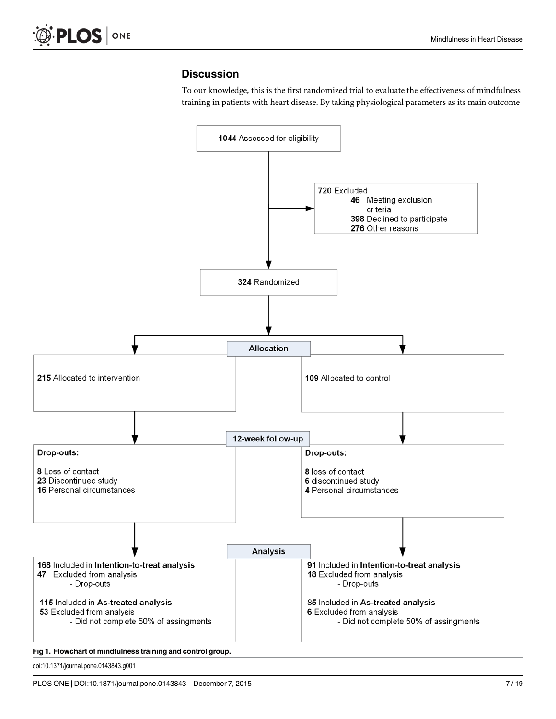## **Discussion**

To our knowledge, this is the first randomized trial to evaluate the effectiveness of mindfulness training in patients with heart disease. By taking physiological parameters as its main outcome

<span id="page-6-0"></span>

doi:10.1371/journal.pone.0143843.g001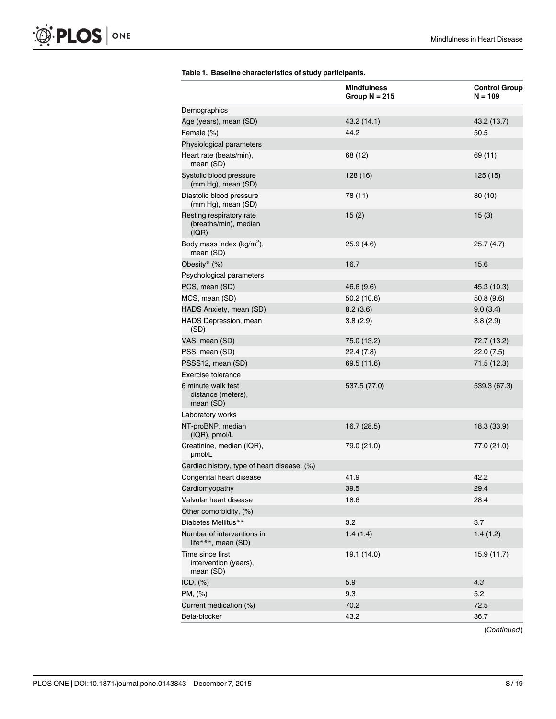<span id="page-7-0"></span>

|                                                            | <b>Mindfulness</b><br>Group $N = 215$ | <b>Control Group</b><br>$N = 109$ |
|------------------------------------------------------------|---------------------------------------|-----------------------------------|
| Demographics                                               |                                       |                                   |
| Age (years), mean (SD)                                     | 43.2 (14.1)                           | 43.2 (13.7)                       |
| Female (%)                                                 | 44.2                                  | 50.5                              |
| Physiological parameters                                   |                                       |                                   |
| Heart rate (beats/min),<br>mean (SD)                       | 68 (12)                               | 69 (11)                           |
| Systolic blood pressure<br>(mm Hg), mean (SD)              | 128 (16)                              | 125 (15)                          |
| Diastolic blood pressure<br>(mm Hg), mean (SD)             | 78 (11)                               | 80(10)                            |
| Resting respiratory rate<br>(breaths/min), median<br>(IQR) | 15(2)                                 | 15(3)                             |
| Body mass index (kg/m <sup>2</sup> ),<br>mean (SD)         | 25.9(4.6)                             | 25.7(4.7)                         |
| Obesity* (%)                                               | 16.7                                  | 15.6                              |
| Psychological parameters                                   |                                       |                                   |
| PCS, mean (SD)                                             | 46.6 (9.6)                            | 45.3 (10.3)                       |
| MCS, mean (SD)                                             | 50.2(10.6)                            | 50.8(9.6)                         |
| HADS Anxiety, mean (SD)                                    | 8.2(3.6)                              | 9.0(3.4)                          |
| HADS Depression, mean<br>(SD)                              | 3.8(2.9)                              | 3.8(2.9)                          |
| VAS, mean (SD)                                             | 75.0 (13.2)                           | 72.7 (13.2)                       |
| PSS, mean (SD)                                             | 22.4(7.8)                             | 22.0(7.5)                         |
| PSSS12, mean (SD)                                          | 69.5 (11.6)                           | 71.5 (12.3)                       |
| Exercise tolerance                                         |                                       |                                   |
| 6 minute walk test<br>distance (meters),<br>mean (SD)      | 537.5 (77.0)                          | 539.3 (67.3)                      |
| Laboratory works                                           |                                       |                                   |
| NT-proBNP, median<br>(IQR), pmol/L                         | 16.7 (28.5)                           | 18.3 (33.9)                       |
| Creatinine, median (IQR),<br>µmol/L                        | 79.0 (21.0)                           | 77.0 (21.0)                       |
| Cardiac history, type of heart disease, (%)                |                                       |                                   |
| Congenital heart disease                                   | 41.9                                  | 42.2                              |
| Cardiomyopathy                                             | 39.5                                  | 29.4                              |
| Valvular heart disease                                     | 18.6                                  | 28.4                              |
| Other comorbidity, (%)                                     |                                       |                                   |
| Diabetes Mellitus**                                        | 3.2                                   | 3.7                               |
| Number of interventions in<br>life***, mean (SD)           | 1.4(1.4)                              | 1.4(1.2)                          |
| Time since first<br>intervention (years),<br>mean (SD)     | 19.1 (14.0)                           | 15.9 (11.7)                       |
| ICD, $(\%)$                                                | 5.9                                   | 4.3                               |
| PM, (%)                                                    | 9.3                                   | 5.2                               |
| Current medication (%)                                     | 70.2                                  | 72.5                              |
| Beta-blocker                                               | 43.2                                  | 36.7                              |

#### [Table 1.](#page-5-0) Baseline characteristics of study participants.

(Continued)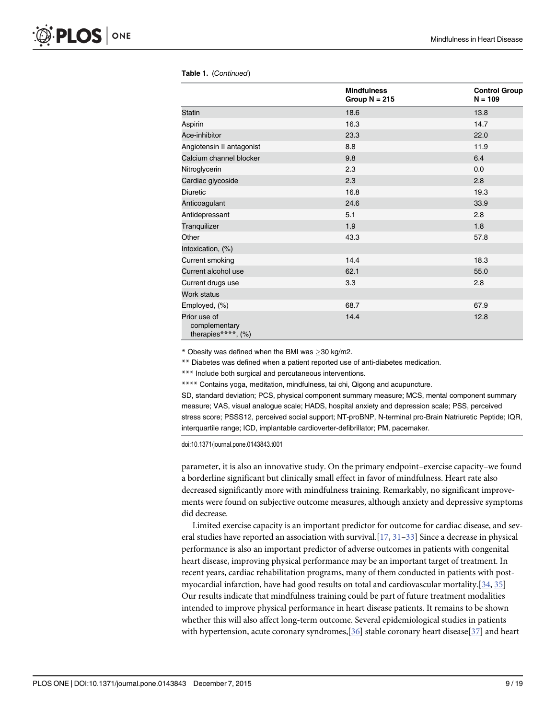|                                                     | <b>Mindfulness</b><br>Group $N = 215$ | <b>Control Group</b><br>$N = 109$ |
|-----------------------------------------------------|---------------------------------------|-----------------------------------|
| <b>Statin</b>                                       | 18.6                                  | 13.8                              |
| Aspirin                                             | 16.3                                  | 14.7                              |
| Ace-inhibitor                                       | 23.3                                  | 22.0                              |
| Angiotensin II antagonist                           | 8.8                                   | 11.9                              |
| Calcium channel blocker                             | 9.8                                   | 6.4                               |
| Nitroglycerin                                       | 2.3                                   | 0.0                               |
| Cardiac glycoside                                   | 2.3                                   | 2.8                               |
| <b>Diuretic</b>                                     | 16.8                                  | 19.3                              |
| Anticoagulant                                       | 24.6                                  | 33.9                              |
| Antidepressant                                      | 5.1                                   | 2.8                               |
| Tranquilizer                                        | 1.9                                   | 1.8                               |
| Other                                               | 43.3                                  | 57.8                              |
| Intoxication, (%)                                   |                                       |                                   |
| Current smoking                                     | 14.4                                  | 18.3                              |
| Current alcohol use                                 | 62.1                                  | 55.0                              |
| Current drugs use                                   | 3.3                                   | 2.8                               |
| Work status                                         |                                       |                                   |
| Employed, (%)                                       | 68.7                                  | 67.9                              |
| Prior use of<br>complementary<br>therapies****, (%) | 14.4                                  | 12.8                              |

#### <span id="page-8-0"></span>Table 1. (Continued)

 $*$  Obesity was defined when the BMI was  $>$ 30 kg/m2.

\*\* Diabetes was defined when a patient reported use of anti-diabetes medication.

\*\*\* Include both surgical and percutaneous interventions.

\*\*\*\* Contains yoga, meditation, mindfulness, tai chi, Qigong and acupuncture.

SD, standard deviation; PCS, physical component summary measure; MCS, mental component summary measure; VAS, visual analogue scale; HADS, hospital anxiety and depression scale; PSS, perceived stress score; PSSS12, perceived social support; NT-proBNP, N-terminal pro-Brain Natriuretic Peptide; IQR, interquartile range; ICD, implantable cardioverter-defibrillator; PM, pacemaker.

doi:10.1371/journal.pone.0143843.t001

parameter, it is also an innovative study. On the primary endpoint–exercise capacity–we found a borderline significant but clinically small effect in favor of mindfulness. Heart rate also decreased significantly more with mindfulness training. Remarkably, no significant improvements were found on subjective outcome measures, although anxiety and depressive symptoms did decrease.

Limited exercise capacity is an important predictor for outcome for cardiac disease, and several studies have reported an association with survival.  $[17, 31-33]$  $[17, 31-33]$  $[17, 31-33]$  $[17, 31-33]$  $[17, 31-33]$  Since a decrease in physical performance is also an important predictor of adverse outcomes in patients with congenital heart disease, improving physical performance may be an important target of treatment. In recent years, cardiac rehabilitation programs, many of them conducted in patients with postmyocardial infarction, have had good results on total and cardiovascular mortality.[[34](#page-17-0), [35](#page-17-0)] Our results indicate that mindfulness training could be part of future treatment modalities intended to improve physical performance in heart disease patients. It remains to be shown whether this will also affect long-term outcome. Several epidemiological studies in patients with hypertension, acute coronary syndromes,  $[36]$  $[36]$  $[36]$  stable coronary heart disease  $[37]$  and heart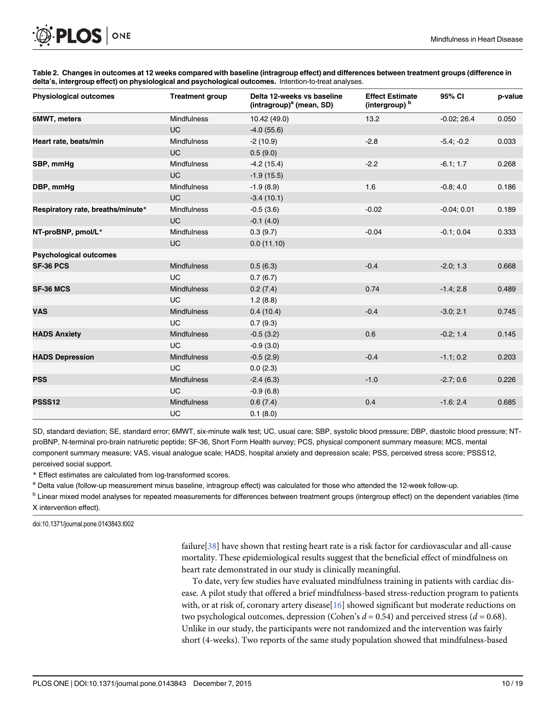| <b>Physiological outcomes</b>     | <b>Treatment group</b> | Delta 12-weeks vs baseline<br>(intragroup) <sup>a</sup> (mean, SD) | <b>Effect Estimate</b><br>(intergroup) b | 95% CI        | p-value |
|-----------------------------------|------------------------|--------------------------------------------------------------------|------------------------------------------|---------------|---------|
| 6MWT, meters                      | Mindfulness            | 10.42 (49.0)                                                       | 13.2                                     | $-0.02; 26.4$ | 0.050   |
|                                   | <b>UC</b>              | $-4.0(55.6)$                                                       |                                          |               |         |
| Heart rate, beats/min             | Mindfulness            | $-2(10.9)$                                                         | $-2.8$                                   | $-5.4; -0.2$  | 0.033   |
|                                   | <b>UC</b>              | 0.5(9.0)                                                           |                                          |               |         |
| SBP, mmHq                         | Mindfulness            | $-4.2(15.4)$                                                       | $-2.2$                                   | $-6.1; 1.7$   | 0.268   |
|                                   | <b>UC</b>              | $-1.9(15.5)$                                                       |                                          |               |         |
| DBP, mmHg                         | Mindfulness            | $-1.9(8.9)$                                                        | 1.6                                      | $-0.8; 4.0$   | 0.186   |
|                                   | <b>UC</b>              | $-3.4(10.1)$                                                       |                                          |               |         |
| Respiratory rate, breaths/minute* | Mindfulness            | $-0.5(3.6)$                                                        | $-0.02$                                  | $-0.04; 0.01$ | 0.189   |
|                                   | <b>UC</b>              | $-0.1(4.0)$                                                        |                                          |               |         |
| NT-proBNP, pmol/L*                | Mindfulness            | 0.3(9.7)                                                           | $-0.04$                                  | $-0.1; 0.04$  | 0.333   |
|                                   | <b>UC</b>              | 0.0(11.10)                                                         |                                          |               |         |
| <b>Psychological outcomes</b>     |                        |                                                                    |                                          |               |         |
| SF-36 PCS                         | <b>Mindfulness</b>     | 0.5(6.3)                                                           | $-0.4$                                   | $-2.0; 1.3$   | 0.668   |
|                                   | <b>UC</b>              | 0.7(6.7)                                                           |                                          |               |         |
| <b>SF-36 MCS</b>                  | Mindfulness            | 0.2(7.4)                                                           | 0.74                                     | $-1.4; 2.8$   | 0.489   |
|                                   | UC                     | 1.2(8.8)                                                           |                                          |               |         |
| <b>VAS</b>                        | <b>Mindfulness</b>     | 0.4(10.4)                                                          | $-0.4$                                   | $-3.0; 2.1$   | 0.745   |
|                                   | <b>UC</b>              | 0.7(9.3)                                                           |                                          |               |         |
| <b>HADS Anxiety</b>               | <b>Mindfulness</b>     | $-0.5(3.2)$                                                        | 0.6                                      | $-0.2; 1.4$   | 0.145   |
|                                   | <b>UC</b>              | $-0.9(3.0)$                                                        |                                          |               |         |
| <b>HADS Depression</b>            | Mindfulness            | $-0.5(2.9)$                                                        | $-0.4$                                   | $-1.1; 0.2$   | 0.203   |
|                                   | <b>UC</b>              | 0.0(2.3)                                                           |                                          |               |         |
| <b>PSS</b>                        | <b>Mindfulness</b>     | $-2.4(6.3)$                                                        | $-1.0$                                   | $-2.7;0.6$    | 0.226   |
|                                   | UC                     | $-0.9(6.8)$                                                        |                                          |               |         |
| <b>PSSS12</b>                     | Mindfulness            | 0.6(7.4)                                                           | 0.4                                      | $-1.6:2.4$    | 0.685   |
|                                   | UC                     | 0.1(8.0)                                                           |                                          |               |         |

[Table 2.](#page-5-0) Changes in outcomes at 12 weeks compared with baseline (intragroup effect) and differences between treatment groups (difference in delta's, intergroup effect) on physiological and psychological outcomes. Intention-to-treat analyses.

SD, standard deviation; SE, standard error; 6MWT, six-minute walk test; UC, usual care; SBP, systolic blood pressure; DBP, diastolic blood pressure; NTproBNP, N-terminal pro-brain natriuretic peptide; SF-36, Short Form Health survey; PCS, physical component summary measure; MCS, mental component summary measure; VAS, visual analogue scale; HADS, hospital anxiety and depression scale; PSS, perceived stress score; PSSS12, perceived social support.

\* Effect estimates are calculated from log-transformed scores.

a Delta value (follow-up measurement minus baseline, intragroup effect) was calculated for those who attended the 12-week follow-up.

<sup>b</sup> Linear mixed model analyses for repeated measurements for differences between treatment groups (intergroup effect) on the dependent variables (time X intervention effect).

doi:10.1371/journal.pone.0143843.t002

<span id="page-9-0"></span>PLOS ONE

failure[[38](#page-17-0)] have shown that resting heart rate is a risk factor for cardiovascular and all-cause mortality. These epidemiological results suggest that the beneficial effect of mindfulness on heart rate demonstrated in our study is clinically meaningful.

To date, very few studies have evaluated mindfulness training in patients with cardiac disease. A pilot study that offered a brief mindfulness-based stress-reduction program to patients with, or at risk of, coronary artery disease[[16](#page-16-0)] showed significant but moderate reductions on two psychological outcomes, depression (Cohen's  $d = 0.54$ ) and perceived stress ( $d = 0.68$ ). Unlike in our study, the participants were not randomized and the intervention was fairly short (4-weeks). Two reports of the same study population showed that mindfulness-based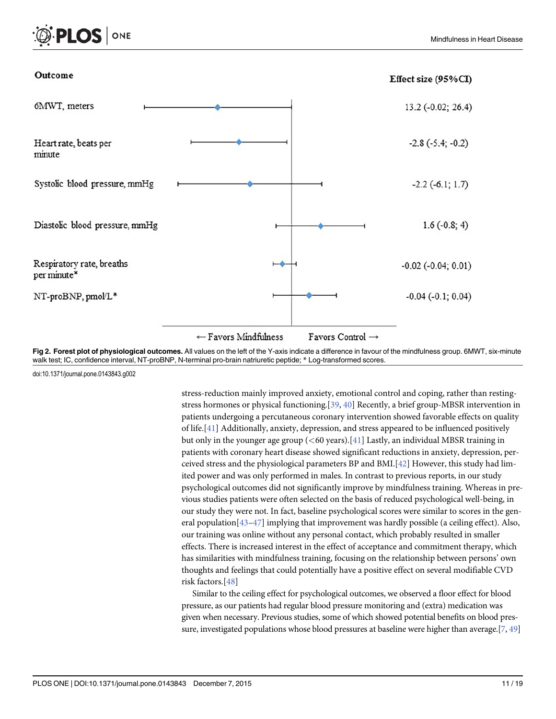<span id="page-10-0"></span>



doi:10.1371/journal.pone.0143843.g002

ONE

OS.

stress-reduction mainly improved anxiety, emotional control and coping, rather than restingstress hormones or physical functioning.[[39,](#page-17-0) [40\]](#page-17-0) Recently, a brief group-MBSR intervention in patients undergoing a percutaneous coronary intervention showed favorable effects on quality of life.[[41\]](#page-17-0) Additionally, anxiety, depression, and stress appeared to be influenced positively but only in the younger age group  $(<\!60 \text{ years}$ ).[[41](#page-17-0)] Lastly, an individual MBSR training in patients with coronary heart disease showed significant reductions in anxiety, depression, perceived stress and the physiological parameters BP and BMI.[[42](#page-17-0)] However, this study had limited power and was only performed in males. In contrast to previous reports, in our study psychological outcomes did not significantly improve by mindfulness training. Whereas in previous studies patients were often selected on the basis of reduced psychological well-being, in our study they were not. In fact, baseline psychological scores were similar to scores in the general population $[43-47]$  $[43-47]$  $[43-47]$  $[43-47]$  $[43-47]$  implying that improvement was hardly possible (a ceiling effect). Also, our training was online without any personal contact, which probably resulted in smaller effects. There is increased interest in the effect of acceptance and commitment therapy, which has similarities with mindfulness training, focusing on the relationship between persons' own thoughts and feelings that could potentially have a positive effect on several modifiable CVD risk factors.[\[48](#page-17-0)]

Similar to the ceiling effect for psychological outcomes, we observed a floor effect for blood pressure, as our patients had regular blood pressure monitoring and (extra) medication was given when necessary. Previous studies, some of which showed potential benefits on blood pressure, investigated populations whose blood pressures at baseline were higher than average.  $[7, 49]$  $[7, 49]$  $[7, 49]$  $[7, 49]$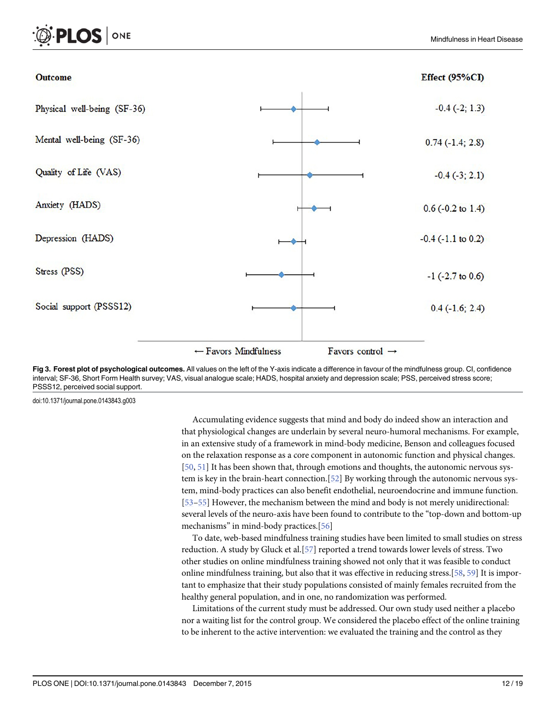<span id="page-11-0"></span>

[Fig 3. F](#page-5-0)orest plot of psychological outcomes. All values on the left of the Y-axis indicate a difference in favour of the mindfulness group. CI, confidence interval; SF-36, Short Form Health survey; VAS, visual analogue scale; HADS, hospital anxiety and depression scale; PSS, perceived stress score; PSSS12, perceived social support.

doi:10.1371/journal.pone.0143843.g003

LOS I

ONE

Accumulating evidence suggests that mind and body do indeed show an interaction and that physiological changes are underlain by several neuro-humoral mechanisms. For example, in an extensive study of a framework in mind-body medicine, Benson and colleagues focused on the relaxation response as a core component in autonomic function and physical changes. [\[50](#page-18-0), [51\]](#page-18-0) It has been shown that, through emotions and thoughts, the autonomic nervous system is key in the brain-heart connection.[\[52\]](#page-18-0) By working through the autonomic nervous system, mind-body practices can also benefit endothelial, neuroendocrine and immune function. [\[53](#page-18-0)–[55\]](#page-18-0) However, the mechanism between the mind and body is not merely unidirectional: several levels of the neuro-axis have been found to contribute to the "top-down and bottom-up mechanisms" in mind-body practices.[[56](#page-18-0)]

To date, web-based mindfulness training studies have been limited to small studies on stress reduction. A study by Gluck et al.[[57](#page-18-0)] reported a trend towards lower levels of stress. Two other studies on online mindfulness training showed not only that it was feasible to conduct online mindfulness training, but also that it was effective in reducing stress.[\[58,](#page-18-0) [59\]](#page-18-0) It is important to emphasize that their study populations consisted of mainly females recruited from the healthy general population, and in one, no randomization was performed.

Limitations of the current study must be addressed. Our own study used neither a placebo nor a waiting list for the control group. We considered the placebo effect of the online training to be inherent to the active intervention: we evaluated the training and the control as they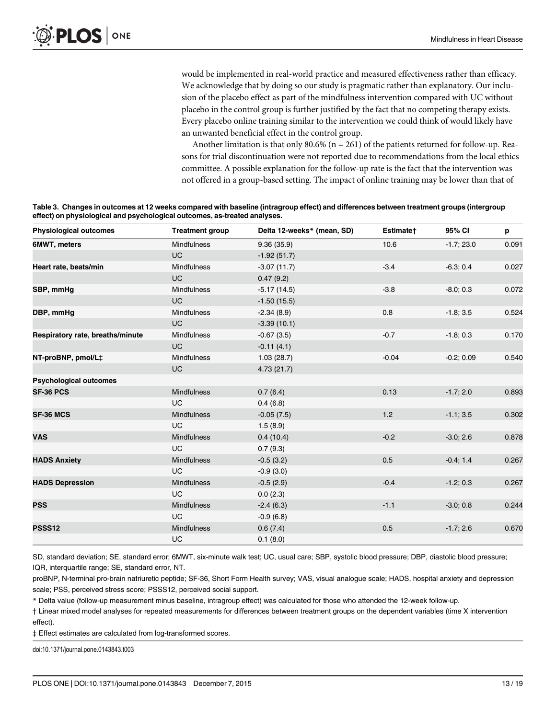<span id="page-12-0"></span>would be implemented in real-world practice and measured effectiveness rather than efficacy. We acknowledge that by doing so our study is pragmatic rather than explanatory. Our inclusion of the placebo effect as part of the mindfulness intervention compared with UC without placebo in the control group is further justified by the fact that no competing therapy exists. Every placebo online training similar to the intervention we could think of would likely have an unwanted beneficial effect in the control group.

Another limitation is that only  $80.6\%$  (n = 261) of the patients returned for follow-up. Reasons for trial discontinuation were not reported due to recommendations from the local ethics committee. A possible explanation for the follow-up rate is the fact that the intervention was not offered in a group-based setting. The impact of online training may be lower than that of

| Table 3. Changes in outcomes at 12 weeks compared with baseline (intragroup effect) and differences between treatment groups (intergroup |
|------------------------------------------------------------------------------------------------------------------------------------------|
| effect) on physiological and psychological outcomes, as-treated analyses.                                                                |

| <b>Physiological outcomes</b>    | <b>Treatment group</b> | Delta 12-weeks* (mean, SD) | Estimate+ | 95% CI       | p     |
|----------------------------------|------------------------|----------------------------|-----------|--------------|-------|
| 6MWT, meters                     | <b>Mindfulness</b>     | 9.36(35.9)                 | 10.6      | $-1.7; 23.0$ | 0.091 |
|                                  | <b>UC</b>              | $-1.92(51.7)$              |           |              |       |
| Heart rate, beats/min            | <b>Mindfulness</b>     | $-3.07(11.7)$              | $-3.4$    | $-6.3; 0.4$  | 0.027 |
|                                  | <b>UC</b>              | 0.47(9.2)                  |           |              |       |
| SBP, mmHg                        | <b>Mindfulness</b>     | $-5.17(14.5)$              | $-3.8$    | $-8.0; 0.3$  | 0.072 |
|                                  | <b>UC</b>              | $-1.50(15.5)$              |           |              |       |
| DBP, mmHg                        | <b>Mindfulness</b>     | $-2.34(8.9)$               | 0.8       | $-1.8; 3.5$  | 0.524 |
|                                  | <b>UC</b>              | $-3.39(10.1)$              |           |              |       |
| Respiratory rate, breaths/minute | <b>Mindfulness</b>     | $-0.67(3.5)$               | $-0.7$    | $-1.8; 0.3$  | 0.170 |
|                                  | <b>UC</b>              | $-0.11(4.1)$               |           |              |       |
| NT-proBNP, pmol/L‡               | <b>Mindfulness</b>     | 1.03(28.7)                 | $-0.04$   | $-0.2; 0.09$ | 0.540 |
|                                  | <b>UC</b>              | 4.73(21.7)                 |           |              |       |
| <b>Psychological outcomes</b>    |                        |                            |           |              |       |
| <b>SF-36 PCS</b>                 | Mindfulness            | 0.7(6.4)                   | 0.13      | $-1.7; 2.0$  | 0.893 |
|                                  | <b>UC</b>              | 0.4(6.8)                   |           |              |       |
| <b>SF-36 MCS</b>                 | <b>Mindfulness</b>     | $-0.05(7.5)$               | 1.2       | $-1.1; 3.5$  | 0.302 |
|                                  | <b>UC</b>              | 1.5(8.9)                   |           |              |       |
| <b>VAS</b>                       | <b>Mindfulness</b>     | 0.4(10.4)                  | $-0.2$    | $-3.0; 2.6$  | 0.878 |
|                                  | <b>UC</b>              | 0.7(9.3)                   |           |              |       |
| <b>HADS Anxiety</b>              | Mindfulness            | $-0.5(3.2)$                | 0.5       | $-0.4; 1.4$  | 0.267 |
|                                  | <b>UC</b>              | $-0.9(3.0)$                |           |              |       |
| <b>HADS Depression</b>           | <b>Mindfulness</b>     | $-0.5(2.9)$                | $-0.4$    | $-1.2; 0.3$  | 0.267 |
|                                  | <b>UC</b>              | 0.0(2.3)                   |           |              |       |
| <b>PSS</b>                       | <b>Mindfulness</b>     | $-2.4(6.3)$                | $-1.1$    | $-3.0; 0.8$  | 0.244 |
|                                  | UC                     | $-0.9(6.8)$                |           |              |       |
| <b>PSSS12</b>                    | <b>Mindfulness</b>     | 0.6(7.4)                   | 0.5       | $-1.7; 2.6$  | 0.670 |
|                                  | <b>UC</b>              | 0.1(8.0)                   |           |              |       |

SD, standard deviation; SE, standard error; 6MWT, six-minute walk test; UC, usual care; SBP, systolic blood pressure; DBP, diastolic blood pressure; IQR, interquartile range; SE, standard error, NT.

proBNP, N-terminal pro-brain natriuretic peptide; SF-36, Short Form Health survey; VAS, visual analogue scale; HADS, hospital anxiety and depression scale; PSS, perceived stress score; PSSS12, perceived social support.

\* Delta value (follow-up measurement minus baseline, intragroup effect) was calculated for those who attended the 12-week follow-up.

† Linear mixed model analyses for repeated measurements for differences between treatment groups on the dependent variables (time X intervention effect).

‡ Effect estimates are calculated from log-transformed scores.

doi:10.1371/journal.pone.0143843.t003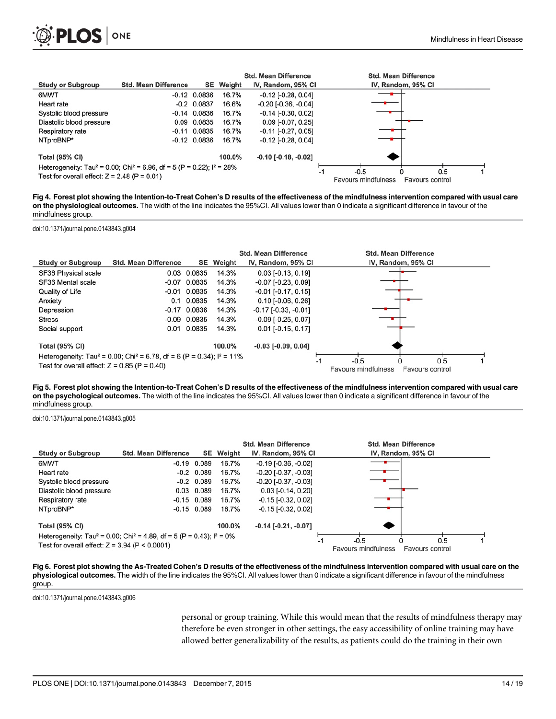<span id="page-13-0"></span>

|                                                                                                 |                             |                  |                  | <b>Std. Mean Difference</b>   | <b>Std. Mean Difference</b>                   |
|-------------------------------------------------------------------------------------------------|-----------------------------|------------------|------------------|-------------------------------|-----------------------------------------------|
| <b>Study or Subgroup</b>                                                                        | <b>Std. Mean Difference</b> |                  | <b>SE</b> Weight | IV, Random, 95% CI            | IV, Random, 95% CI                            |
| 6MWT                                                                                            |                             | $-0.12$ $0.0836$ | 16.7%            | $-0.12$ [ $-0.28$ , $0.04$ ]  |                                               |
| Heart rate                                                                                      |                             | $-0.2$ 0.0837    | 16.6%            | $-0.20$ [ $-0.36$ , $-0.04$ ] |                                               |
| Systolic blood pressure                                                                         |                             | $-0.14$ 0.0836   | 16.7%            | $-0.14$ [ $-0.30$ , $0.02$ ]  |                                               |
| Diastolic blood pressure                                                                        |                             | 0.09 0.0835      | 16.7%            | $0.09$ [-0.07, 0.25]          |                                               |
| Respiratory rate                                                                                |                             | $-0.11$ $0.0835$ | 16.7%            | $-0.11$ [ $-0.27, 0.05$ ]     |                                               |
| NTproBNP*                                                                                       |                             | $-0.12$ $0.0836$ | 16.7%            | $-0.12$ [ $-0.28$ , $0.04$ ]  |                                               |
| <b>Total (95% CI)</b>                                                                           |                             |                  | 100.0%           | $-0.10$ [ $-0.18$ , $-0.02$ ] |                                               |
| Heterogeneity: Tau <sup>2</sup> = 0.00; Chi <sup>2</sup> = 6.96, df = 5 (P = 0.22); $I^2$ = 28% |                             |                  |                  | -1                            | $-0.5$<br>0.5                                 |
| Test for overall effect: $Z = 2.48$ (P = 0.01)                                                  |                             |                  |                  |                               | <b>Favours mindfulness</b><br>Favours control |

[Fig 4. F](#page-5-0)orest plot showing the Intention-to-Treat Cohen's D results of the effectiveness of the mindfulness intervention compared with usual care on the physiological outcomes. The width of the line indicates the 95%CI. All values lower than 0 indicate a significant difference in favour of the mindfulness group.

doi:10.1371/journal.pone.0143843.g004

|                                                |                                                                                                 |                  |           | <b>Std. Mean Difference</b>  | <b>Std. Mean Difference</b>                   |  |
|------------------------------------------------|-------------------------------------------------------------------------------------------------|------------------|-----------|------------------------------|-----------------------------------------------|--|
| <b>Study or Subgroup</b>                       | <b>Std. Mean Difference</b>                                                                     |                  | SE Weight | IV, Random, 95% CI           | IV, Random, 95% CI                            |  |
| SF36 Physical scale                            |                                                                                                 | 0.03 0.0835      | 14.3%     | $0.03$ [-0.13, 0.19]         |                                               |  |
| SF36 Mental scale                              | $-0.07$                                                                                         | 0.0835           | 14.3%     | $-0.07$ [ $-0.23$ , $0.09$ ] |                                               |  |
| Quality of Life                                |                                                                                                 | $-0.01$ $0.0835$ | 14.3%     | $-0.01$ [ $-0.17, 0.15$ ]    |                                               |  |
| Anxiety                                        |                                                                                                 | 0.1 0.0835       | 14.3%     | $0.10$ [-0.06, 0.26]         |                                               |  |
| Depression                                     |                                                                                                 | $-0.17$ $0.0836$ | 14.3%     | $-0.17$ $[-0.33, -0.01]$     |                                               |  |
| <b>Stress</b>                                  |                                                                                                 | $-0.09$ $0.0835$ | 14.3%     | $-0.09$ [ $-0.25$ , $0.07$ ] |                                               |  |
| Social support                                 |                                                                                                 | 0.01 0.0835      | 14.3%     | $0.01$ [-0.15, 0.17]         |                                               |  |
| <b>Total (95% CI)</b>                          |                                                                                                 |                  | 100.0%    | $-0.03$ [ $-0.09$ , $0.04$ ] |                                               |  |
|                                                | Heterogeneity: Tau <sup>2</sup> = 0.00; Chi <sup>2</sup> = 6.78, df = 6 (P = 0.34); $I^2$ = 11% |                  |           |                              | 0.5<br>$-0.5$<br>-1                           |  |
| Test for overall effect: $Z = 0.85$ (P = 0.40) |                                                                                                 |                  |           |                              | <b>Favours mindfulness</b><br>Favours control |  |

[Fig 5. F](#page-5-0)orest plot showing the Intention-to-Treat Cohen's D results of the effectiveness of the mindfulness intervention compared with usual care on the psychological outcomes. The width of the line indicates the 95%CI. All values lower than 0 indicate a significant difference in favour of the mindfulness group.

doi:10.1371/journal.pone.0143843.g005

|                                                  |                                                                                                |                  | <b>Std. Mean Difference</b>   | <b>Std. Mean Difference</b>                   |
|--------------------------------------------------|------------------------------------------------------------------------------------------------|------------------|-------------------------------|-----------------------------------------------|
| <b>Study or Subgroup</b>                         | <b>Std. Mean Difference</b>                                                                    | <b>SE</b> Weight | IV, Random, 95% CI            | IV, Random, 95% CI                            |
| 6MWT                                             | $-0.19$ $0.089$                                                                                | 16.7%            | $-0.19$ [ $-0.36$ , $-0.02$ ] |                                               |
| Heart rate                                       | $-0.2$ 0.089                                                                                   | 16.7%            | $-0.20$ [ $-0.37, -0.03$ ]    |                                               |
| Systolic blood pressure                          | $-0.2$ 0.089                                                                                   | 16.7%            | $-0.20$ [ $-0.37, -0.03$ ]    |                                               |
| Diastolic blood pressure                         | 0.03 0.089                                                                                     | 16.7%            | $0.03$ [-0.14, 0.20]          |                                               |
| Respiratory rate                                 | $-0.15$ 0.089                                                                                  | 16.7%            | $-0.15$ [ $-0.32$ , $0.02$ ]  |                                               |
| NTproBNP*                                        | $-0.15$ 0.089                                                                                  | 16.7%            | $-0.15$ [ $-0.32$ , $0.02$ ]  |                                               |
| <b>Total (95% CI)</b>                            |                                                                                                | 100.0%           | $-0.14$ [ $-0.21$ , $-0.07$ ] |                                               |
|                                                  | Heterogeneity: Tau <sup>2</sup> = 0.00; Chi <sup>2</sup> = 4.89, df = 5 (P = 0.43); $1^2$ = 0% |                  | -1                            | 0.5<br>$-0.5$                                 |
| Test for overall effect: $Z = 3.94$ (P < 0.0001) |                                                                                                |                  |                               | <b>Favours mindfulness</b><br>Favours control |

[Fig 6. F](#page-5-0)orest plot showing the As-Treated Cohen's D results of the effectiveness of the mindfulness intervention compared with usual care on the physiological outcomes. The width of the line indicates the 95%CI. All values lower than 0 indicate a significant difference in favour of the mindfulness group.

doi:10.1371/journal.pone.0143843.g006

personal or group training. While this would mean that the results of mindfulness therapy may therefore be even stronger in other settings, the easy accessibility of online training may have allowed better generalizability of the results, as patients could do the training in their own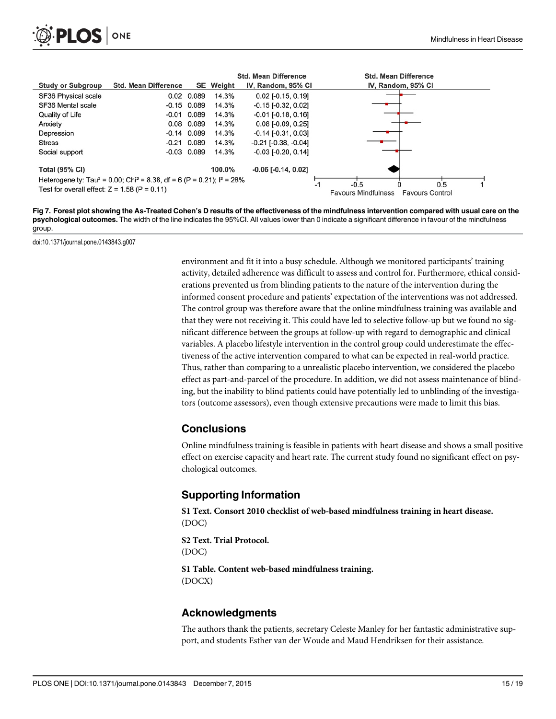<span id="page-14-0"></span>

|                                                |                                                                                                 |                 |        | <b>Std. Mean Difference</b>   |    | <b>Std. Mean Difference</b>                                           |
|------------------------------------------------|-------------------------------------------------------------------------------------------------|-----------------|--------|-------------------------------|----|-----------------------------------------------------------------------|
| <b>Study or Subgroup</b>                       | <b>Std. Mean Difference</b>                                                                     | SE              | Weiaht | IV, Random, 95% CI            |    | IV, Random, 95% CI                                                    |
| <b>SF36 Physical scale</b>                     |                                                                                                 | $0.02$ 0.089    | 14.3%  | $0.02$ [-0.15, 0.19]          |    |                                                                       |
| SF36 Mental scale                              |                                                                                                 | $-0.15$ 0.089   | 14.3%  | $-0.15$ [ $-0.32$ , $0.02$ ]  |    |                                                                       |
| Quality of Life                                |                                                                                                 | $-0.01$ $0.089$ | 14.3%  | $-0.01$ [ $-0.18$ , $0.16$ ]  |    |                                                                       |
| Anxiety                                        |                                                                                                 | 0.08 0.089      | 14.3%  | $0.08$ [-0.09, 0.25]          |    |                                                                       |
| Depression                                     |                                                                                                 | $-0.14$ 0.089   | 14.3%  | $-0.14$ [ $-0.31$ , $0.03$ ]  |    |                                                                       |
| <b>Stress</b>                                  |                                                                                                 | $-0.21$ $0.089$ | 14.3%  | $-0.21$ [ $-0.38$ , $-0.04$ ] |    |                                                                       |
| Social support                                 |                                                                                                 | $-0.03$ 0.089   | 14.3%  | $-0.03$ [ $-0.20$ , $0.14$ ]  |    |                                                                       |
| <b>Total (95% CI)</b>                          |                                                                                                 |                 | 100.0% | $-0.06$ [ $-0.14$ , $0.02$ ]  |    |                                                                       |
|                                                | Heterogeneity: Tau <sup>2</sup> = 0.00; Chi <sup>2</sup> = 8.38, df = 6 (P = 0.21); $I^2$ = 28% |                 |        |                               |    |                                                                       |
| Test for overall effect: $Z = 1.58$ (P = 0.11) |                                                                                                 |                 |        |                               | -1 | $-0.5$<br>0.5<br><b>Favours Mindfulness</b><br><b>Favours Control</b> |

[Fig 7. F](#page-5-0)orest plot showing the As-Treated Cohen's D results of the effectiveness of the mindfulness intervention compared with usual care on the psychological outcomes. The width of the line indicates the 95%CI. All values lower than 0 indicate a significant difference in favour of the mindfulness group.

doi:10.1371/journal.pone.0143843.g007

environment and fit it into a busy schedule. Although we monitored participants' training activity, detailed adherence was difficult to assess and control for. Furthermore, ethical considerations prevented us from blinding patients to the nature of the intervention during the informed consent procedure and patients' expectation of the interventions was not addressed. The control group was therefore aware that the online mindfulness training was available and that they were not receiving it. This could have led to selective follow-up but we found no significant difference between the groups at follow-up with regard to demographic and clinical variables. A placebo lifestyle intervention in the control group could underestimate the effectiveness of the active intervention compared to what can be expected in real-world practice. Thus, rather than comparing to a unrealistic placebo intervention, we considered the placebo effect as part-and-parcel of the procedure. In addition, we did not assess maintenance of blinding, but the inability to blind patients could have potentially led to unblinding of the investigators (outcome assessors), even though extensive precautions were made to limit this bias.

#### **Conclusions**

Online mindfulness training is feasible in patients with heart disease and shows a small positive effect on exercise capacity and heart rate. The current study found no significant effect on psychological outcomes.

## Supporting Information

[S1 Text.](http://www.plosone.org/article/fetchSingleRepresentation.action?uri=info:doi/10.1371/journal.pone.0143843.s001) Consort 2010 checklist of web-based mindfulness training in heart disease. (DOC)

[S2 Text.](http://www.plosone.org/article/fetchSingleRepresentation.action?uri=info:doi/10.1371/journal.pone.0143843.s002) Trial Protocol. (DOC)

[S1 Table](http://www.plosone.org/article/fetchSingleRepresentation.action?uri=info:doi/10.1371/journal.pone.0143843.s003). Content web-based mindfulness training. (DOCX)

## Acknowledgments

The authors thank the patients, secretary Celeste Manley for her fantastic administrative support, and students Esther van der Woude and Maud Hendriksen for their assistance.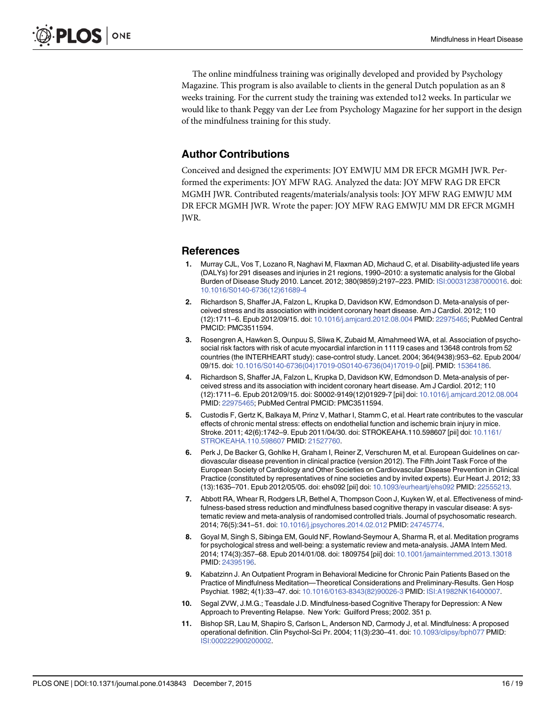<span id="page-15-0"></span>The online mindfulness training was originally developed and provided by Psychology Magazine. This program is also available to clients in the general Dutch population as an 8 weeks training. For the current study the training was extended to12 weeks. In particular we would like to thank Peggy van der Lee from Psychology Magazine for her support in the design of the mindfulness training for this study.

## Author Contributions

Conceived and designed the experiments: JOY EMWJU MM DR EFCR MGMH JWR. Performed the experiments: JOY MFW RAG. Analyzed the data: JOY MFW RAG DR EFCR MGMH JWR. Contributed reagents/materials/analysis tools: JOY MFW RAG EMWJU MM DR EFCR MGMH JWR. Wrote the paper: JOY MFW RAG EMWJU MM DR EFCR MGMH JWR.

## References

- [1.](#page-1-0) Murray CJL, Vos T, Lozano R, Naghavi M, Flaxman AD, Michaud C, et al. Disability-adjusted life years (DALYs) for 291 diseases and injuries in 21 regions, 1990–2010: a systematic analysis for the Global Burden of Disease Study 2010. Lancet. 2012; 380(9859):2197–223. PMID: [ISI:000312387000016.](http://www.ncbi.nlm.nih.gov/pubmed/ISI:000312387000016) doi: [10.1016/S0140-6736\(12\)61689-4](http://dx.doi.org/10.1016/S0140-6736(12)61689-4)
- [2.](#page-1-0) Richardson S, Shaffer JA, Falzon L, Krupka D, Davidson KW, Edmondson D. Meta-analysis of perceived stress and its association with incident coronary heart disease. Am J Cardiol. 2012; 110 (12):1711–6. Epub 2012/09/15. doi: [10.1016/j.amjcard.2012.08.004](http://dx.doi.org/10.1016/j.amjcard.2012.08.004) PMID: [22975465](http://www.ncbi.nlm.nih.gov/pubmed/22975465); PubMed Central PMCID: PMC3511594.
- [3.](#page-1-0) Rosengren A, Hawken S, Ounpuu S, Sliwa K, Zubaid M, Almahmeed WA, et al. Association of psychosocial risk factors with risk of acute myocardial infarction in 11119 cases and 13648 controls from 52 countries (the INTERHEART study): case-control study. Lancet. 2004; 364(9438):953–62. Epub 2004/ 09/15. doi: [10.1016/S0140-6736\(04\)17019-0S0140-6736\(04\)17019-0](http://dx.doi.org/10.1016/S0140-6736(04)17019-0S0140-6736(04)17019-0) [pii]. PMID: [15364186.](http://www.ncbi.nlm.nih.gov/pubmed/15364186)
- [4.](#page-1-0) Richardson S, Shaffer JA, Falzon L, Krupka D, Davidson KW, Edmondson D. Meta-analysis of perceived stress and its association with incident coronary heart disease. Am J Cardiol. 2012; 110 (12):1711–6. Epub 2012/09/15. doi: S0002-9149(12)01929-7 [pii] doi: [10.1016/j.amjcard.2012.08.004](http://dx.doi.org/10.1016/j.amjcard.2012.08.004) PMID: [22975465;](http://www.ncbi.nlm.nih.gov/pubmed/22975465) PubMed Central PMCID: PMC3511594.
- [5.](#page-1-0) Custodis F, Gertz K, Balkaya M, Prinz V, Mathar I, Stamm C, et al. Heart rate contributes to the vascular effects of chronic mental stress: effects on endothelial function and ischemic brain injury in mice. Stroke. 2011; 42(6):1742–9. Epub 2011/04/30. doi: STROKEAHA.110.598607 [pii] doi: [10.1161/](http://dx.doi.org/10.1161/STROKEAHA.110.598607) [STROKEAHA.110.598607](http://dx.doi.org/10.1161/STROKEAHA.110.598607) PMID: [21527760.](http://www.ncbi.nlm.nih.gov/pubmed/21527760)
- [6.](#page-1-0) Perk J, De Backer G, Gohlke H, Graham I, Reiner Z, Verschuren M, et al. European Guidelines on cardiovascular disease prevention in clinical practice (version 2012). The Fifth Joint Task Force of the European Society of Cardiology and Other Societies on Cardiovascular Disease Prevention in Clinical Practice (constituted by representatives of nine societies and by invited experts). Eur Heart J. 2012; 33 (13):1635–701. Epub 2012/05/05. doi: ehs092 [pii] doi: [10.1093/eurheartj/ehs092](http://dx.doi.org/10.1093/eurheartj/ehs092) PMID: [22555213](http://www.ncbi.nlm.nih.gov/pubmed/22555213).
- [7.](#page-1-0) Abbott RA, Whear R, Rodgers LR, Bethel A, Thompson Coon J, Kuyken W, et al. Effectiveness of mindfulness-based stress reduction and mindfulness based cognitive therapy in vascular disease: A systematic review and meta-analysis of randomised controlled trials. Journal of psychosomatic research. 2014; 76(5):341–51. doi: [10.1016/j.jpsychores.2014.02.012](http://dx.doi.org/10.1016/j.jpsychores.2014.02.012) PMID: [24745774](http://www.ncbi.nlm.nih.gov/pubmed/24745774).
- [8.](#page-1-0) Goyal M, Singh S, Sibinga EM, Gould NF, Rowland-Seymour A, Sharma R, et al. Meditation programs for psychological stress and well-being: a systematic review and meta-analysis. JAMA Intern Med. 2014; 174(3):357–68. Epub 2014/01/08. doi: 1809754 [pii] doi: [10.1001/jamainternmed.2013.13018](http://dx.doi.org/10.1001/jamainternmed.2013.13018) PMID: [24395196.](http://www.ncbi.nlm.nih.gov/pubmed/24395196)
- [9.](#page-1-0) Kabatzinn J. An Outpatient Program in Behavioral Medicine for Chronic Pain Patients Based on the Practice of Mindfulness Meditation—Theoretical Considerations and Preliminary-Results. Gen Hosp Psychiat. 1982; 4(1):33–47. doi: [10.1016/0163-8343\(82\)90026-3](http://dx.doi.org/10.1016/0163-8343(82)90026-3) PMID: [ISI:A1982NK16400007.](http://www.ncbi.nlm.nih.gov/pubmed/ISI:A1982NK16400007)
- [10.](#page-1-0) Segal ZVW, J.M.G.; Teasdale J.D. Mindfulness-based Cognitive Therapy for Depression: A New Approach to Preventing Relapse. New York: Guilford Press; 2002. 351 p.
- [11.](#page-1-0) Bishop SR, Lau M, Shapiro S, Carlson L, Anderson ND, Carmody J, et al. Mindfulness: A proposed operational definition. Clin Psychol-Sci Pr. 2004; 11(3):230–41. doi: [10.1093/clipsy/bph077](http://dx.doi.org/10.1093/clipsy/bph077) PMID: [ISI:000222900200002.](http://www.ncbi.nlm.nih.gov/pubmed/ISI:000222900200002)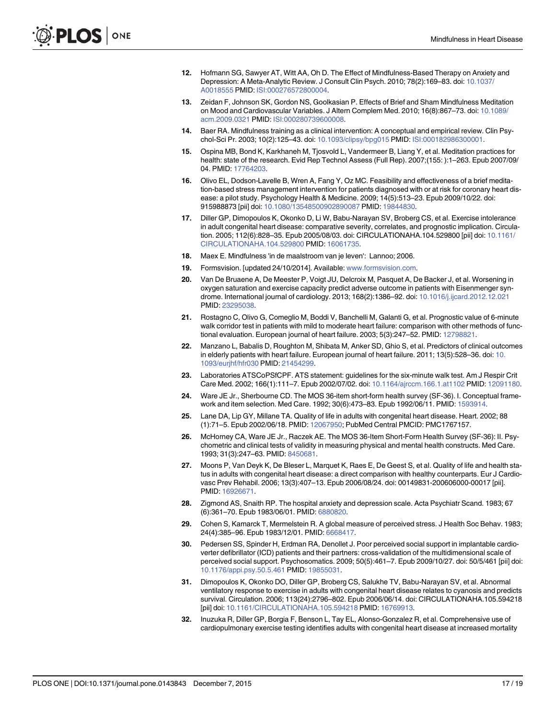- <span id="page-16-0"></span>[12.](#page-1-0) Hofmann SG, Sawyer AT, Witt AA, Oh D. The Effect of Mindfulness-Based Therapy on Anxiety and Depression: A Meta-Analytic Review. J Consult Clin Psych. 2010; 78(2):169–83. doi: [10.1037/](http://dx.doi.org/10.1037/A0018555) [A0018555](http://dx.doi.org/10.1037/A0018555) PMID: [ISI:000276572800004](http://www.ncbi.nlm.nih.gov/pubmed/ISI:000276572800004).
- 13. Zeidan F, Johnson SK, Gordon NS, Goolkasian P. Effects of Brief and Sham Mindfulness Meditation on Mood and Cardiovascular Variables. J Altern Complem Med. 2010; 16(8):867–73. doi: [10.1089/](http://dx.doi.org/10.1089/acm.2009.0321) [acm.2009.0321](http://dx.doi.org/10.1089/acm.2009.0321) PMID: [ISI:000280739600008.](http://www.ncbi.nlm.nih.gov/pubmed/ISI:000280739600008)
- 14. Baer RA. Mindfulness training as a clinical intervention: A conceptual and empirical review. Clin Psychol-Sci Pr. 2003; 10(2):125–43. doi: [10.1093/clipsy/bpg015](http://dx.doi.org/10.1093/clipsy/bpg015) PMID: [ISI:000182986300001](http://www.ncbi.nlm.nih.gov/pubmed/ISI:000182986300001).
- 15. Ospina MB, Bond K, Karkhaneh M, Tjosvold L, Vandermeer B, Liang Y, et al. Meditation practices for health: state of the research. Evid Rep Technol Assess (Full Rep). 2007;(155: ):1–263. Epub 2007/09/ 04. PMID: [17764203.](http://www.ncbi.nlm.nih.gov/pubmed/17764203)
- [16.](#page-1-0) Olivo EL, Dodson-Lavelle B, Wren A, Fang Y, Oz MC. Feasibility and effectiveness of a brief meditation-based stress management intervention for patients diagnosed with or at risk for coronary heart disease: a pilot study. Psychology Health & Medicine. 2009; 14(5):513–23. Epub 2009/10/22. doi: 915988873 [pii] doi: [10.1080/13548500902890087](http://dx.doi.org/10.1080/13548500902890087) PMID: [19844830](http://www.ncbi.nlm.nih.gov/pubmed/19844830).
- [17.](#page-1-0) Diller GP, Dimopoulos K, Okonko D, Li W, Babu-Narayan SV, Broberg CS, et al. Exercise intolerance in adult congenital heart disease: comparative severity, correlates, and prognostic implication. Circulation. 2005; 112(6):828–35. Epub 2005/08/03. doi: CIRCULATIONAHA.104.529800 [pii] doi: [10.1161/](http://dx.doi.org/10.1161/CIRCULATIONAHA.104.529800) [CIRCULATIONAHA.104.529800](http://dx.doi.org/10.1161/CIRCULATIONAHA.104.529800) PMID: [16061735.](http://www.ncbi.nlm.nih.gov/pubmed/16061735)
- [18.](#page-2-0) Maex E. Mindfulness 'in de maalstroom van je leven': Lannoo; 2006.
- [19.](#page-2-0) Formsvision. [updated 24/10/2014]. Available: [www.formsvision.com](http://www.formsvision.com).
- [20.](#page-3-0) Van De Bruaene A, De Meester P, Voigt JU, Delcroix M, Pasquet A, De Backer J, et al. Worsening in oxygen saturation and exercise capacity predict adverse outcome in patients with Eisenmenger syndrome. International journal of cardiology. 2013; 168(2):1386–92. doi: [10.1016/j.ijcard.2012.12.021](http://dx.doi.org/10.1016/j.ijcard.2012.12.021) PMID: [23295038.](http://www.ncbi.nlm.nih.gov/pubmed/23295038)
- 21. Rostagno C, Olivo G, Comeglio M, Boddi V, Banchelli M, Galanti G, et al. Prognostic value of 6-minute walk corridor test in patients with mild to moderate heart failure: comparison with other methods of functional evaluation. European journal of heart failure. 2003; 5(3):247–52. PMID: [12798821](http://www.ncbi.nlm.nih.gov/pubmed/12798821).
- [22.](#page-3-0) Manzano L, Babalis D, Roughton M, Shibata M, Anker SD, Ghio S, et al. Predictors of clinical outcomes in elderly patients with heart failure. European journal of heart failure. 2011; 13(5):528–36. doi: [10.](http://dx.doi.org/10.1093/eurjhf/hfr030) [1093/eurjhf/hfr030](http://dx.doi.org/10.1093/eurjhf/hfr030) PMID: [21454299.](http://www.ncbi.nlm.nih.gov/pubmed/21454299)
- [23.](#page-3-0) Laboratories ATSCoPSfCPF. ATS statement: guidelines for the six-minute walk test. Am J Respir Crit Care Med. 2002; 166(1):111–7. Epub 2002/07/02. doi: [10.1164/ajrccm.166.1.at1102](http://dx.doi.org/10.1164/ajrccm.166.1.at1102) PMID: [12091180.](http://www.ncbi.nlm.nih.gov/pubmed/12091180)
- [24.](#page-3-0) Ware JE Jr., Sherbourne CD. The MOS 36-item short-form health survey (SF-36). I. Conceptual framework and item selection. Med Care. 1992; 30(6):473–83. Epub 1992/06/11. PMID: [1593914](http://www.ncbi.nlm.nih.gov/pubmed/1593914).
- [25.](#page-3-0) Lane DA, Lip GY, Millane TA. Quality of life in adults with congenital heart disease. Heart. 2002; 88 (1):71–5. Epub 2002/06/18. PMID: [12067950;](http://www.ncbi.nlm.nih.gov/pubmed/12067950) PubMed Central PMCID: PMC1767157.
- [26.](#page-3-0) McHorney CA, Ware JE Jr., Raczek AE. The MOS 36-Item Short-Form Health Survey (SF-36): II. Psychometric and clinical tests of validity in measuring physical and mental health constructs. Med Care. 1993; 31(3):247–63. PMID: [8450681.](http://www.ncbi.nlm.nih.gov/pubmed/8450681)
- [27.](#page-3-0) Moons P, Van Deyk K, De Bleser L, Marquet K, Raes E, De Geest S, et al. Quality of life and health status in adults with congenital heart disease: a direct comparison with healthy counterparts. Eur J Cardiovasc Prev Rehabil. 2006; 13(3):407–13. Epub 2006/08/24. doi: 00149831-200606000-00017 [pii]. PMID: [16926671.](http://www.ncbi.nlm.nih.gov/pubmed/16926671)
- [28.](#page-3-0) Zigmond AS, Snaith RP. The hospital anxiety and depression scale. Acta Psychiatr Scand. 1983; 67 (6):361–70. Epub 1983/06/01. PMID: [6880820](http://www.ncbi.nlm.nih.gov/pubmed/6880820).
- [29.](#page-3-0) Cohen S, Kamarck T, Mermelstein R. A global measure of perceived stress. J Health Soc Behav. 1983; 24(4):385–96. Epub 1983/12/01. PMID: [6668417](http://www.ncbi.nlm.nih.gov/pubmed/6668417).
- [30.](#page-4-0) Pedersen SS, Spinder H, Erdman RA, Denollet J. Poor perceived social support in implantable cardioverter defibrillator (ICD) patients and their partners: cross-validation of the multidimensional scale of perceived social support. Psychosomatics. 2009; 50(5):461–7. Epub 2009/10/27. doi: 50/5/461 [pii] doi: [10.1176/appi.psy.50.5.461](http://dx.doi.org/10.1176/appi.psy.50.5.461) PMID: [19855031.](http://www.ncbi.nlm.nih.gov/pubmed/19855031)
- [31.](#page-8-0) Dimopoulos K, Okonko DO, Diller GP, Broberg CS, Salukhe TV, Babu-Narayan SV, et al. Abnormal ventilatory response to exercise in adults with congenital heart disease relates to cyanosis and predicts survival. Circulation. 2006; 113(24):2796–802. Epub 2006/06/14. doi: CIRCULATIONAHA.105.594218 [pii] doi: [10.1161/CIRCULATIONAHA.105.594218](http://dx.doi.org/10.1161/CIRCULATIONAHA.105.594218) PMID: [16769913.](http://www.ncbi.nlm.nih.gov/pubmed/16769913)
- 32. Inuzuka R, Diller GP, Borgia F, Benson L, Tay EL, Alonso-Gonzalez R, et al. Comprehensive use of cardiopulmonary exercise testing identifies adults with congenital heart disease at increased mortality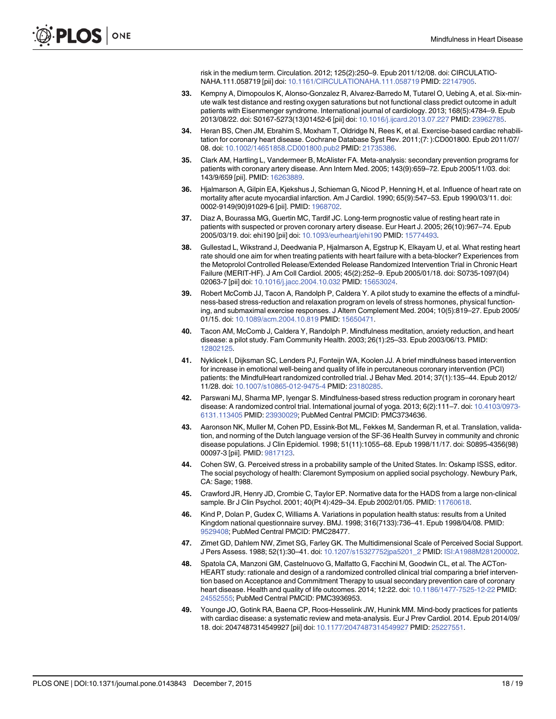risk in the medium term. Circulation. 2012; 125(2):250–9. Epub 2011/12/08. doi: CIRCULATIO-NAHA.111.058719 [pii] doi: [10.1161/CIRCULATIONAHA.111.058719](http://dx.doi.org/10.1161/CIRCULATIONAHA.111.058719) PMID: [22147905.](http://www.ncbi.nlm.nih.gov/pubmed/22147905)

- <span id="page-17-0"></span>[33.](#page-8-0) Kempny A, Dimopoulos K, Alonso-Gonzalez R, Alvarez-Barredo M, Tutarel O, Uebing A, et al. Six-minute walk test distance and resting oxygen saturations but not functional class predict outcome in adult patients with Eisenmenger syndrome. International journal of cardiology. 2013; 168(5):4784–9. Epub 2013/08/22. doi: S0167-5273(13)01452-6 [pii] doi: [10.1016/j.ijcard.2013.07.227](http://dx.doi.org/10.1016/j.ijcard.2013.07.227) PMID: [23962785](http://www.ncbi.nlm.nih.gov/pubmed/23962785).
- [34.](#page-8-0) Heran BS, Chen JM, Ebrahim S, Moxham T, Oldridge N, Rees K, et al. Exercise-based cardiac rehabilitation for coronary heart disease. Cochrane Database Syst Rev. 2011;(7: ):CD001800. Epub 2011/07/ 08. doi: [10.1002/14651858.CD001800.pub2](http://dx.doi.org/10.1002/14651858.CD001800.pub2) PMID: [21735386.](http://www.ncbi.nlm.nih.gov/pubmed/21735386)
- [35.](#page-8-0) Clark AM, Hartling L, Vandermeer B, McAlister FA. Meta-analysis: secondary prevention programs for patients with coronary artery disease. Ann Intern Med. 2005; 143(9):659–72. Epub 2005/11/03. doi: 143/9/659 [pii]. PMID: [16263889.](http://www.ncbi.nlm.nih.gov/pubmed/16263889)
- [36.](#page-8-0) Hjalmarson A, Gilpin EA, Kjekshus J, Schieman G, Nicod P, Henning H, et al. Influence of heart rate on mortality after acute myocardial infarction. Am J Cardiol. 1990; 65(9):547–53. Epub 1990/03/11. doi: 0002-9149(90)91029-6 [pii]. PMID: [1968702](http://www.ncbi.nlm.nih.gov/pubmed/1968702).
- [37.](#page-8-0) Diaz A, Bourassa MG, Guertin MC, Tardif JC. Long-term prognostic value of resting heart rate in patients with suspected or proven coronary artery disease. Eur Heart J. 2005; 26(10):967–74. Epub 2005/03/19. doi: ehi190 [pii] doi: [10.1093/eurheartj/ehi190](http://dx.doi.org/10.1093/eurheartj/ehi190) PMID: [15774493](http://www.ncbi.nlm.nih.gov/pubmed/15774493).
- [38.](#page-9-0) Gullestad L, Wikstrand J, Deedwania P, Hialmarson A, Egstrup K, Elkayam U, et al. What resting heart rate should one aim for when treating patients with heart failure with a beta-blocker? Experiences from the Metoprolol Controlled Release/Extended Release Randomized Intervention Trial in Chronic Heart Failure (MERIT-HF). J Am Coll Cardiol. 2005; 45(2):252–9. Epub 2005/01/18. doi: S0735-1097(04) 02063-7 [pii] doi: [10.1016/j.jacc.2004.10.032](http://dx.doi.org/10.1016/j.jacc.2004.10.032) PMID: [15653024.](http://www.ncbi.nlm.nih.gov/pubmed/15653024)
- [39.](#page-10-0) Robert McComb JJ, Tacon A, Randolph P, Caldera Y. A pilot study to examine the effects of a mindfulness-based stress-reduction and relaxation program on levels of stress hormones, physical functioning, and submaximal exercise responses. J Altern Complement Med. 2004; 10(5):819–27. Epub 2005/ 01/15. doi: [10.1089/acm.2004.10.819](http://dx.doi.org/10.1089/acm.2004.10.819) PMID: [15650471.](http://www.ncbi.nlm.nih.gov/pubmed/15650471)
- Tacon AM, McComb J, Caldera Y, Randolph P. Mindfulness meditation, anxiety reduction, and heart disease: a pilot study. Fam Community Health. 2003; 26(1):25–33. Epub 2003/06/13. PMID: [12802125](http://www.ncbi.nlm.nih.gov/pubmed/12802125).
- [41.](#page-10-0) Nyklicek I, Dijksman SC, Lenders PJ, Fonteijn WA, Koolen JJ. A brief mindfulness based intervention for increase in emotional well-being and quality of life in percutaneous coronary intervention (PCI) patients: the MindfulHeart randomized controlled trial. J Behav Med. 2014; 37(1):135–44. Epub 2012/ 11/28. doi: [10.1007/s10865-012-9475-4](http://dx.doi.org/10.1007/s10865-012-9475-4) PMID: [23180285.](http://www.ncbi.nlm.nih.gov/pubmed/23180285)
- [42.](#page-10-0) Parswani MJ, Sharma MP, Iyengar S. Mindfulness-based stress reduction program in coronary heart disease: A randomized control trial. International journal of yoga. 2013; 6(2):111–7. doi: [10.4103/0973-](http://dx.doi.org/10.4103/0973-6131.113405) [6131.113405](http://dx.doi.org/10.4103/0973-6131.113405) PMID: [23930029;](http://www.ncbi.nlm.nih.gov/pubmed/23930029) PubMed Central PMCID: PMC3734636.
- [43.](#page-10-0) Aaronson NK, Muller M, Cohen PD, Essink-Bot ML, Fekkes M, Sanderman R, et al. Translation, validation, and norming of the Dutch language version of the SF-36 Health Survey in community and chronic disease populations. J Clin Epidemiol. 1998; 51(11):1055–68. Epub 1998/11/17. doi: S0895-4356(98) 00097-3 [pii]. PMID: [9817123](http://www.ncbi.nlm.nih.gov/pubmed/9817123).
- 44. Cohen SW, G. Perceived stress in a probability sample of the United States. In: Oskamp ISSS, editor. The social psychology of health: Claremont Symposium on applied social psychology. Newbury Park, CA: Sage; 1988.
- 45. Crawford JR, Henry JD, Crombie C, Taylor EP. Normative data for the HADS from a large non-clinical sample. Br J Clin Psychol. 2001; 40(Pt 4):429–34. Epub 2002/01/05. PMID: [11760618](http://www.ncbi.nlm.nih.gov/pubmed/11760618).
- 46. Kind P, Dolan P, Gudex C, Williams A. Variations in population health status: results from a United Kingdom national questionnaire survey. BMJ. 1998; 316(7133):736–41. Epub 1998/04/08. PMID: [9529408;](http://www.ncbi.nlm.nih.gov/pubmed/9529408) PubMed Central PMCID: PMC28477.
- [47.](#page-10-0) Zimet GD, Dahlem NW, Zimet SG, Farley GK. The Multidimensional Scale of Perceived Social Support. J Pers Assess. 1988; 52(1):30–41. doi: [10.1207/s15327752jpa5201\\_2](http://dx.doi.org/10.1207/s15327752jpa5201_2) PMID: [ISI:A1988M281200002](http://www.ncbi.nlm.nih.gov/pubmed/ISI:A1988M281200002).
- [48.](#page-10-0) Spatola CA, Manzoni GM, Castelnuovo G, Malfatto G, Facchini M, Goodwin CL, et al. The ACTon-HEART study: rationale and design of a randomized controlled clinical trial comparing a brief intervention based on Acceptance and Commitment Therapy to usual secondary prevention care of coronary heart disease. Health and quality of life outcomes. 2014; 12:22. doi: [10.1186/1477-7525-12-22](http://dx.doi.org/10.1186/1477-7525-12-22) PMID: [24552555](http://www.ncbi.nlm.nih.gov/pubmed/24552555); PubMed Central PMCID: PMC3936953.
- [49.](#page-10-0) Younge JO, Gotink RA, Baena CP, Roos-Hesselink JW, Hunink MM. Mind-body practices for patients with cardiac disease: a systematic review and meta-analysis. Eur J Prev Cardiol. 2014. Epub 2014/09/ 18. doi: 2047487314549927 [pii] doi: [10.1177/2047487314549927](http://dx.doi.org/10.1177/2047487314549927) PMID: [25227551.](http://www.ncbi.nlm.nih.gov/pubmed/25227551)